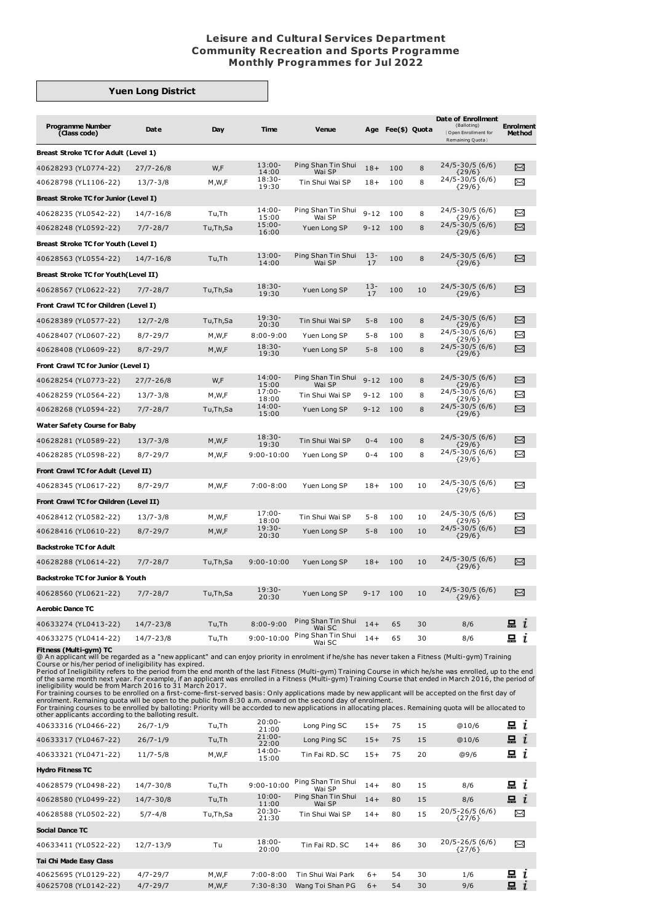## **Leisure and Cultural Services Department Community Recreation and Sports Programme Monthly Programmes for Jul 2022**

## **Yuen Long District**

| <b>Programme Number</b><br>(Class code)      | Date          | Day      | Time               | Venue                        | Age          | Fee(\$) Quota |    | Date of Enrollment<br>(Balloting)<br>Open Enrollment for<br>Remaining Quota } | <b>Enrolment</b><br><b>Method</b> |
|----------------------------------------------|---------------|----------|--------------------|------------------------------|--------------|---------------|----|-------------------------------------------------------------------------------|-----------------------------------|
| Breast Stroke TC for Adult (Level 1)         |               |          |                    |                              |              |               |    |                                                                               |                                   |
| 40628293 (YL0774-22)                         | $27/7 - 26/8$ | W,F      | $13:00 -$<br>14:00 | Ping Shan Tin Shui<br>Wai SP | $18+$        | 100           | 8  | 24/5-30/5 (6/6)<br>${29/6}$                                                   | X                                 |
| 40628798 (YL1106-22)                         | $13/7 - 3/8$  | M,W,F    | $18:30 -$<br>19:30 | Tin Shui Wai SP              | $18+$        | 100           | 8  | 24/5-30/5 (6/6)<br>${29/6}$                                                   | ⊠                                 |
| <b>Breast Stroke TC for Junior (Level I)</b> |               |          |                    |                              |              |               |    |                                                                               |                                   |
| 40628235 (YL0542-22)                         | 14/7-16/8     | Tu,Th    | $14:00 -$<br>15:00 | Ping Shan Tin Shui<br>Wai SP | $9 - 12$     | 100           | 8  | 24/5-30/5 (6/6)<br>{29/6}                                                     | χ                                 |
| 40628248 (YL0592-22)                         | $7/7 - 28/7$  | Tu,Th,Sa | $15:00 -$<br>16:00 | Yuen Long SP                 | $9 - 12$     | 100           | 8  | 24/5-30/5 (6/6)<br>${29/6}$                                                   | X                                 |
| Breast Stroke TC for Youth (Level I)         |               |          |                    |                              |              |               |    |                                                                               |                                   |
| 40628563 (YL0554-22)                         | $14/7 - 16/8$ | Tu,Th    | $13:00 -$<br>14:00 | Ping Shan Tin Shui<br>Wai SP | $13 -$<br>17 | 100           | 8  | $24/5 - 30/5$ (6/6)<br>${29/6}$                                               | X                                 |
| <b>Breast Stroke TC for Youth (Level II)</b> |               |          |                    |                              |              |               |    |                                                                               |                                   |
| 40628567 (YL0622-22)                         | $7/7 - 28/7$  | Tu,Th,Sa | $18:30-$<br>19:30  | Yuen Long SP                 | $13 -$<br>17 | 100           | 10 | 24/5-30/5 (6/6)<br>${29/6}$                                                   | X                                 |
| Front Crawl TC for Children (Level I)        |               |          |                    |                              |              |               |    |                                                                               |                                   |
| 40628389 (YL0577-22)                         | $12/7 - 2/8$  | Tu,Th,Sa | $19:30-$<br>20:30  | Tin Shui Wai SP              | $5 - 8$      | 100           | 8  | $24/5 - 30/5$ (6/6)                                                           | X                                 |
| 40628407 (YL0607-22)                         | $8/7 - 29/7$  | M,W,F    | $8:00 - 9:00$      | Yuen Long SP                 | $5 - 8$      | 100           | 8  | ${29/6}$<br>24/5-30/5 (6/6)<br>${29/6}$                                       | ⊠                                 |
| 40628408 (YL0609-22)                         | $8/7 - 29/7$  | M,W,F    | $18:30-$<br>19:30  | Yuen Long SP                 | $5 - 8$      | 100           | 8  | $24/5 - 30/5$ (6/6)<br>${29/6}$                                               | X                                 |
| Front Crawl TC for Junior (Level I)          |               |          |                    |                              |              |               |    |                                                                               |                                   |
| 40628254 (YL0773-22)                         | $27/7 - 26/8$ | W,F      | $14:00 -$<br>15:00 | Ping Shan Tin Shui<br>Wai SP | $9 - 12$     | 100           | 8  | 24/5-30/5 (6/6)<br>${29/6}$                                                   | X                                 |
| 40628259 (YL0564-22)                         | $13/7 - 3/8$  | M,W,F    | $17:00 -$<br>18:00 | Tin Shui Wai SP              | $9 - 12$     | 100           | 8  | 24/5-30/5 (6/6)<br>${29/6}$                                                   | ≻                                 |
| 40628268 (YL0594-22)                         | $7/7 - 28/7$  | Tu,Th,Sa | $14:00 -$<br>15:00 | Yuen Long SP                 | $9 - 12$     | 100           | 8  | 24/5-30/5 (6/6)<br>${29/6}$                                                   | X                                 |
| <b>Water Safety Course for Baby</b>          |               |          |                    |                              |              |               |    |                                                                               |                                   |
| 40628281 (YL0589-22)                         | $13/7 - 3/8$  | M, W, F  | $18:30-$<br>19:30  | Tin Shui Wai SP              | $0 - 4$      | 100           | 8  | $24/5 - 30/5(6/6)$<br>${29/6}$                                                | X                                 |
| 40628285 (YL0598-22)                         | $8/7 - 29/7$  | M,W,F    | $9:00 - 10:00$     | Yuen Long SP                 | $0 - 4$      | 100           | 8  | $24/5 - 30/5(6/6)$<br>${29/6}$                                                | ≻≺                                |
| Front Crawl TC for Adult (Level II)          |               |          |                    |                              |              |               |    |                                                                               |                                   |
| 40628345 (YL0617-22)                         | $8/7 - 29/7$  | M,W,F    | $7:00 - 8:00$      | Yuen Long SP                 | $18+$        | 100           | 10 | 24/5-30/5 (6/6)<br>${29/6}$                                                   | X                                 |
| Front Crawl TC for Children (Level II)       |               |          |                    |                              |              |               |    |                                                                               |                                   |
| 40628412 (YL0582-22)                         | $13/7 - 3/8$  | M,W,F    | $17:00 -$<br>18:00 | Tin Shui Wai SP              | $5 - 8$      | 100           | 10 | 24/5-30/5 (6/6)<br>${29/6}$                                                   | ⊠                                 |
| 40628416 (YL0610-22)                         | $8/7 - 29/7$  | M,W,F    | $19:30-$<br>20:30  | Yuen Long SP                 | $5 - 8$      | 100           | 10 | 24/5-30/5 (6/6)<br>${29/6}$                                                   | X                                 |
| <b>Backstroke TC for Adult</b>               |               |          |                    |                              |              |               |    |                                                                               |                                   |
| 40628288 (YL0614-22)                         | $7/7 - 28/7$  | Tu,Th,Sa | $9:00 - 10:00$     | Yuen Long SP                 | $18+$        | 100           | 10 | $24/5 - 30/5$ (6/6)                                                           | X                                 |
| Backstroke TC for Junior & Youth             |               |          |                    |                              |              |               |    | ${29/6}$                                                                      |                                   |
| 40628560 (YL0621-22)                         | $7/7 - 28/7$  | Tu,Th,Sa | $19:30-$           | Yuen Long SP                 | $9 - 17$     | 100           | 10 | 24/5-30/5 (6/6)                                                               | X                                 |
| <b>Aerobic Dance TC</b>                      |               |          | 20:30              |                              |              |               |    | ${29/6}$                                                                      |                                   |
| 40633274 (YL0413-22)                         | $14/7 - 23/8$ | Tu,Th    | $8:00 - 9:00$      | Ping Shan Tin Shui           | $14+$        | 65            | 30 | 8/6                                                                           | 昷−<br>$\mathbf{r}$                |
| 40633275 (YL0414-22)                         | $14/7 - 23/8$ | Tu,Th    | $9:00 - 10:00$     | Wai SC<br>Ping Shan Tin Shui | $14+$        | 65            | 30 | 8/6                                                                           | 品 <i>し</i>                        |
|                                              |               |          |                    | Wai SC                       |              |               |    |                                                                               |                                   |

**Fitness (Multi-gym) TC**<br>
Course or his/her period of ineligibility has expired.<br>
Course or his/her period of ineligibility has expired.<br>
Course or his/her period of ineligibility has expired.<br>
Period of Ineligibility ref

| other applicaties according to the ballothig result. |               |          |                    |                              |       |    |    |                                 |                |  |
|------------------------------------------------------|---------------|----------|--------------------|------------------------------|-------|----|----|---------------------------------|----------------|--|
| 40633316 (YL0466-22)                                 | $26/7 - 1/9$  | Tu,Th    | $20:00 -$<br>21:00 | Long Ping SC                 | $15+$ | 75 | 15 | @10/6                           | $x_i$          |  |
| 40633317 (YL0467-22)                                 | $26/7 - 1/9$  | Tu,Th    | $21:00-$<br>22:00  | Long Ping SC                 | $15+$ | 75 | 15 | @10/6                           | $\mathbf{a}$ i |  |
| 40633321 (YL0471-22)                                 | $11/7 - 5/8$  | M,W,F    | $14:00 -$<br>15:00 | Tin Fai RD, SC               | $15+$ | 75 | 20 | @9/6                            | 묘<br>ı         |  |
| <b>Hydro Fitness TC</b>                              |               |          |                    |                              |       |    |    |                                 |                |  |
| 40628579 (YL0498-22)                                 | 14/7-30/8     | Tu,Th    | $9:00 - 10:00$     | Ping Shan Tin Shui<br>Wai SP | $14+$ | 80 | 15 | 8/6                             | $\mathbf{a}$ i |  |
| 40628580 (YL0499-22)                                 | $14/7 - 30/8$ | Tu,Th    | $10:00 -$<br>11:00 | Ping Shan Tin Shui<br>Wai SP | $14+$ | 80 | 15 | 8/6                             | i              |  |
| 40628588 (YL0502-22)                                 | $5/7 - 4/8$   | Tu,Th,Sa | $20:30-$<br>21:30  | Tin Shui Wai SP              | $14+$ | 80 | 15 | $20/5 - 26/5$ (6/6)<br>${27/6}$ | $\Join$        |  |
| Social Dance TC                                      |               |          |                    |                              |       |    |    |                                 |                |  |
| 40633411 (YL0522-22)                                 | $12/7 - 13/9$ | Tu       | $18:00 -$<br>20:00 | Tin Fai RD, SC               | $14+$ | 86 | 30 | $20/5 - 26/5(6/6)$<br>${27/6}$  | χ              |  |
| Tai Chi Made Easy Class                              |               |          |                    |                              |       |    |    |                                 |                |  |
| 40625695 (YL0129-22)                                 | $4/7 - 29/7$  | M,W,F    | $7:00 - 8:00$      | Tin Shui Wai Park            | $6+$  | 54 | 30 | 1/6                             | 묘<br>ı         |  |
| 40625708 (YL0142-22)                                 | $4/7 - 29/7$  | M,W,F    | $7:30 - 8:30$      | Wang Toi Shan PG             | $6+$  | 54 | 30 | 9/6                             | 묘              |  |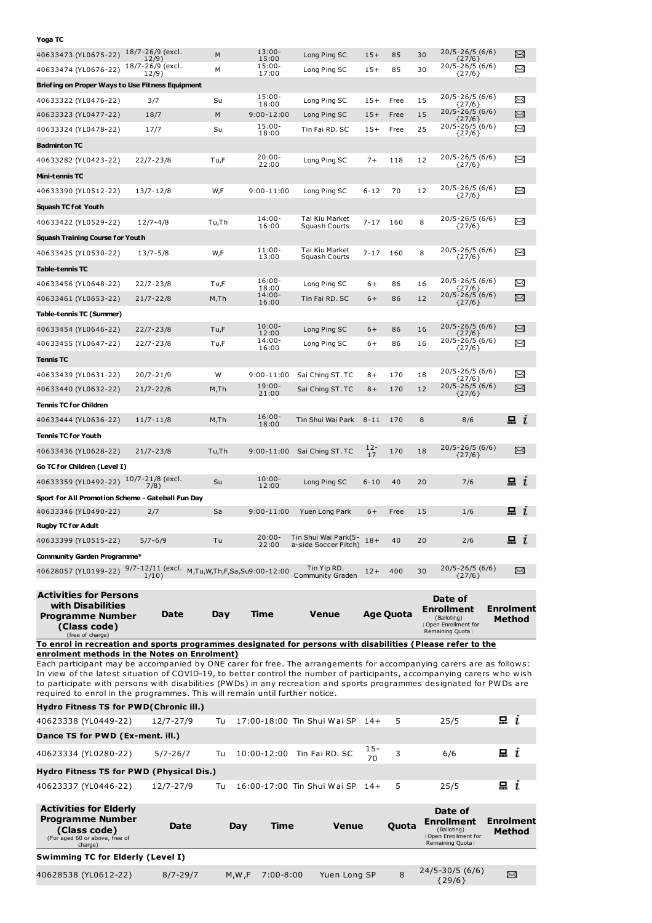| Yoga TC                                                                                                                                                                                                                                                                                                                                                                                                                |                              |       |                             |                                              |              |                  |                                                                                          |            |                            |
|------------------------------------------------------------------------------------------------------------------------------------------------------------------------------------------------------------------------------------------------------------------------------------------------------------------------------------------------------------------------------------------------------------------------|------------------------------|-------|-----------------------------|----------------------------------------------|--------------|------------------|------------------------------------------------------------------------------------------|------------|----------------------------|
| 40633473 (YL0675-22)                                                                                                                                                                                                                                                                                                                                                                                                   | 18/7-26/9 (excl.<br>12/9)    | M     | $13:00 -$<br>15:00          | Long Ping SC                                 | $15+$        | 85               | 20/5-26/5 (6/6)<br>30<br>${27/6}$                                                        |            | X                          |
| 40633474 (YL0676-22)                                                                                                                                                                                                                                                                                                                                                                                                   | 18/7-26/9 (excl.<br>12/9)    | М     | $15:00 -$<br>17:00          | Long Ping SC                                 | $15+$        | 85               | 20/5-26/5 (6/6)<br>30<br>${27/6}$                                                        |            | X                          |
| Briefing on Proper Ways to Use Fitness Equipment                                                                                                                                                                                                                                                                                                                                                                       |                              |       |                             |                                              |              |                  |                                                                                          |            |                            |
| 40633322 (YL0476-22)                                                                                                                                                                                                                                                                                                                                                                                                   | 3/7                          | Su    | $15:00 -$<br>18:00          | Long Ping SC                                 | $15+$        | Free             | $20/5 - 26/5(6/6)$<br>15<br>${27/6}$                                                     |            | X                          |
| 40633323 (YL0477-22)                                                                                                                                                                                                                                                                                                                                                                                                   | 18/7                         | M     | $9:00 - 12:00$              | Long Ping SC                                 | $15+$        | Free             | 20/5-26/5 (6/6)<br>15<br>${27/6}$                                                        |            | X                          |
| 40633324 (YL0478-22)                                                                                                                                                                                                                                                                                                                                                                                                   | 17/7                         | Su    | $15:00 -$<br>18:00          | Tin Fai RD. SC                               | $15+$        | Free             | 20/5-26/5 (6/6)<br>25<br>${27/6}$                                                        |            | X                          |
| <b>Badminton TC</b>                                                                                                                                                                                                                                                                                                                                                                                                    |                              |       |                             |                                              |              |                  |                                                                                          |            |                            |
| 40633282 (YL0423-22)                                                                                                                                                                                                                                                                                                                                                                                                   | $22/7 - 23/8$                | Tu,F  | $20:00 -$<br>22:00          | Long Ping SC                                 | $7+$         | 118              | 20/5-26/5 (6/6)<br>12<br>${27/6}$                                                        |            | X                          |
| Mini-tennis TC                                                                                                                                                                                                                                                                                                                                                                                                         |                              |       |                             |                                              |              |                  |                                                                                          |            |                            |
| 40633390 (YL0512-22)                                                                                                                                                                                                                                                                                                                                                                                                   | 13/7-12/8                    | W,F   | $9:00 - 11:00$              | Long Ping SC                                 | $6 - 12$     | 70               | 20/5-26/5 (6/6)<br>12<br>${27/6}$                                                        |            | X                          |
| Squash TC fot Youth                                                                                                                                                                                                                                                                                                                                                                                                    |                              |       |                             |                                              |              |                  |                                                                                          |            |                            |
| 40633422 (YL0529-22)                                                                                                                                                                                                                                                                                                                                                                                                   | $12/7 - 4/8$                 | Tu,Th | $14:00 -$<br>16:00          | Tai Kiu Market<br>Squash Courts              | $7 - 17$     | 160              | $20/5 - 26/5(6/6)$<br>8<br>${27/6}$                                                      |            | X                          |
| Squash Training Course for Youth                                                                                                                                                                                                                                                                                                                                                                                       |                              |       |                             |                                              |              |                  |                                                                                          |            |                            |
| 40633425 (YL0530-22)                                                                                                                                                                                                                                                                                                                                                                                                   | $13/7 - 5/8$                 | W,F   | $11:00 -$<br>13:00          | Tai Kiu Market<br>Squash Courts              | $7 - 17$     | 160              | $20/5 - 26/5$ (6/6)<br>8<br>${27/6}$                                                     |            | $\Join$                    |
| Table-tennis TC                                                                                                                                                                                                                                                                                                                                                                                                        |                              |       |                             |                                              |              |                  |                                                                                          |            |                            |
| 40633456 (YL0648-22)                                                                                                                                                                                                                                                                                                                                                                                                   | $22/7 - 23/8$                | Tu,F  | $16:00 -$<br>18:00          | Long Ping SC                                 | 6+           | 86               | $20/5 - 26/5(6/6)$<br>16<br>${27/6}$                                                     |            | X                          |
| 40633461 (YL0653-22)                                                                                                                                                                                                                                                                                                                                                                                                   | $21/7 - 22/8$                | M,Th  | $14:00 -$<br>16:00          | Tin Fai RD. SC                               | $6+$         | 86               | 20/5-26/5 (6/6)<br>12<br>${27/6}$                                                        |            | X                          |
| Table-tennis TC (Summer)                                                                                                                                                                                                                                                                                                                                                                                               |                              |       |                             |                                              |              |                  |                                                                                          |            |                            |
| 40633454 (YL0646-22)                                                                                                                                                                                                                                                                                                                                                                                                   | $22/7 - 23/8$                | Tu,F  | $10:00 -$<br>12:00          | Long Ping SC                                 | $6+$         | 86               | 20/5-26/5 (6/6)<br>16<br>${27/6}$                                                        |            | X                          |
| 40633455 (YL0647-22)                                                                                                                                                                                                                                                                                                                                                                                                   | 22/7-23/8                    | Tu,F  | $14:00 -$<br>16:00          | Long Ping SC                                 | 6+           | 86               | 20/5-26/5 (6/6)<br>16<br>${27/6}$                                                        |            | X                          |
| Tennis TC                                                                                                                                                                                                                                                                                                                                                                                                              |                              |       |                             |                                              |              |                  |                                                                                          |            |                            |
| 40633439 (YL0631-22)                                                                                                                                                                                                                                                                                                                                                                                                   | 20/7-21/9                    | W     | 9:00-11:00                  | Sai Ching ST. TC                             | $8+$         | 170              | 20/5-26/5 (6/6)<br>18                                                                    |            | $\Join$                    |
| 40633440 (YL0632-22)                                                                                                                                                                                                                                                                                                                                                                                                   | $21/7 - 22/8$                | M, Th | $19:00 -$<br>21:00          | Sai Ching ST. TC                             | $8+$         | 170              | {27/6}<br>20/5-26/5 (6/6)<br>12<br>${27/6}$                                              |            | X                          |
| Tennis TC for Children                                                                                                                                                                                                                                                                                                                                                                                                 |                              |       |                             |                                              |              |                  |                                                                                          |            |                            |
| 40633444 (YL0636-22)                                                                                                                                                                                                                                                                                                                                                                                                   | $11/7 - 11/8$                | M, Th | $16:00 -$<br>18:00          | Tin Shui Wai Park                            | $8 - 11$     | 170              | 8<br>8/6                                                                                 |            | $\mathbf{a}$ i             |
| <b>Tennis TC for Youth</b>                                                                                                                                                                                                                                                                                                                                                                                             |                              |       |                             |                                              |              |                  |                                                                                          |            |                            |
| 40633436 (YL0628-22)                                                                                                                                                                                                                                                                                                                                                                                                   | $21/7 - 23/8$                | Tu,Th | $9:00 - 11:00$              | Sai Ching ST. TC                             | $12 -$<br>17 | 170              | 20/5-26/5 (6/6)<br>18                                                                    |            | X                          |
| Go TC for Children (Level I)                                                                                                                                                                                                                                                                                                                                                                                           |                              |       |                             |                                              |              |                  | ${27/6}$                                                                                 |            |                            |
| 40633359 (YL0492-22)                                                                                                                                                                                                                                                                                                                                                                                                   | 10/7-21/8 (excl.             | Su    | $10:00 -$                   | Long Ping SC                                 | $6 - 10$     | 40               | 20<br>7/6                                                                                |            | 묘<br>$\mathbf{r}$          |
| Sport for All Promotion Scheme - Gateball Fun Day                                                                                                                                                                                                                                                                                                                                                                      | 7/8)                         |       | 12:00                       |                                              |              |                  |                                                                                          |            |                            |
| 40633346 (YL0490-22)                                                                                                                                                                                                                                                                                                                                                                                                   | 2/7                          | Sa    | $9:00 - 11:00$              | Yuen Long Park                               | $6+$         | Free             | 1/6<br>15                                                                                |            | 昷 ι                        |
| <b>Rugby TC for Adult</b>                                                                                                                                                                                                                                                                                                                                                                                              |                              |       |                             |                                              |              |                  |                                                                                          |            |                            |
| 40633399 (YL0515-22)                                                                                                                                                                                                                                                                                                                                                                                                   | $5/7 - 6/9$                  | Tu    | $20:00 -$<br>22:00          | Tin Shui Wai Park(5-<br>a-side Soccer Pitch) | $18+$        | 40               | 2/6<br>20                                                                                |            | 묘 $i$                      |
| Community Garden Programme*                                                                                                                                                                                                                                                                                                                                                                                            |                              |       |                             |                                              |              |                  |                                                                                          |            |                            |
| 40628057 (YL0199-22)                                                                                                                                                                                                                                                                                                                                                                                                   | $9/7 - 12/11$ (excl.<br>1/10 |       | M,Tu,W,Th,F,Sa,Su9:00-12:00 | Tin Yip RD.<br>Community Graden              | $12+$        | 400              | 20/5-26/5 (6/6)<br>30<br>${27/6}$                                                        |            | X                          |
| <b>Activities for Persons</b>                                                                                                                                                                                                                                                                                                                                                                                          |                              |       |                             |                                              |              |                  | Date of                                                                                  |            |                            |
| with Disabilities<br>Programme Number<br>(Class code)<br>(free of charge)                                                                                                                                                                                                                                                                                                                                              | Date                         | Day   | Time                        | <b>Venue</b>                                 |              | <b>Age Quota</b> | Enrollment<br>(Balloting)<br>Open Enrollment for<br>Remaining Quota }                    |            | <b>Enrolment</b><br>Method |
| To enrol in recreation and sports programmes designated for persons with disabilities (Please refer to the                                                                                                                                                                                                                                                                                                             |                              |       |                             |                                              |              |                  |                                                                                          |            |                            |
| enrolment methods in the Notes on Enrolment)<br>Each participant may be accompanied by ONE carer for free. The arrangements for accompanying carers are as follows:<br>In view of the latest situation of COVID-19, to better control the number of participants, accompanying carers who wish<br>to participate with persons with disabilities (PWDs) in any recreation and sports programmes designated for PWDs are |                              |       |                             |                                              |              |                  |                                                                                          |            |                            |
| required to enrol in the programmes. This will remain until further notice.                                                                                                                                                                                                                                                                                                                                            |                              |       |                             |                                              |              |                  |                                                                                          |            |                            |
| Hydro Fitness TS for PWD(Chronic ill.)                                                                                                                                                                                                                                                                                                                                                                                 |                              |       |                             |                                              |              |                  |                                                                                          | $x_i$      |                            |
| 40623338 (YL0449-22)<br>Dance TS for PWD (Ex-ment. ill.)                                                                                                                                                                                                                                                                                                                                                               | 12/7-27/9                    | Tu    |                             | 17:00-18:00 Tin Shui Wai SP                  | $14+$        | 5                | 25/5                                                                                     |            |                            |
|                                                                                                                                                                                                                                                                                                                                                                                                                        |                              | Tu    |                             | 10:00-12:00 Tin Fai RD. SC                   | $15 -$       | 3                | 6/6                                                                                      | $x_i$      |                            |
| 40623334 (YL0280-22)                                                                                                                                                                                                                                                                                                                                                                                                   | 5/7-26/7                     |       |                             |                                              | 70           |                  |                                                                                          |            |                            |
| <b>Hydro Fitness TS for PWD (Physical Dis.)</b>                                                                                                                                                                                                                                                                                                                                                                        |                              |       |                             | 16:00-17:00 Tin Shui Wai SP                  |              | 5                |                                                                                          | 昷 <i>ι</i> |                            |
| 40623337 (YL0446-22)                                                                                                                                                                                                                                                                                                                                                                                                   | 12/7-27/9                    | Tu    |                             |                                              | - 14+        |                  | 25/5                                                                                     |            |                            |
| <b>Activities for Elderly</b><br><b>Programme Number</b><br>(Class code)<br>(For aged 60 or above, free of<br>charge)                                                                                                                                                                                                                                                                                                  | Date                         | Day   | Time                        | <b>Venue</b>                                 |              | Quota            | Date of<br>Enrollment<br>(Balloting)<br><b>(Open Enrollment for</b><br>Remaining Quota } |            | <b>Enrolment</b><br>Method |
| Swimming TC for Elderly (Level I)                                                                                                                                                                                                                                                                                                                                                                                      |                              |       |                             |                                              |              |                  |                                                                                          |            |                            |

40628538 (YL0612-22) 8/7-29/7 M,W,F 7:00-8:00 Yuen Long SP 8

24/5-30/5 (6/6) {29/6}

 $\boxtimes$